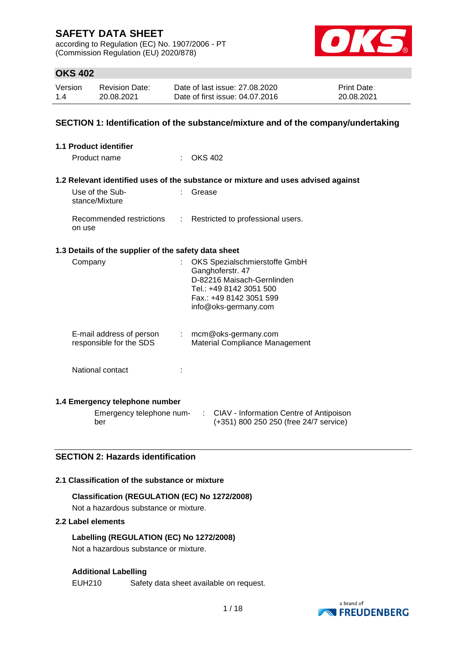according to Regulation (EC) No. 1907/2006 - PT (Commission Regulation (EU) 2020/878)



## **OKS 402**

| Version | <b>Revision Date:</b> | Date of last issue: 27.08.2020  | <b>Print Date:</b> |
|---------|-----------------------|---------------------------------|--------------------|
| 1.4     | 20.08.2021            | Date of first issue: 04.07.2016 | 20.08.2021         |

### **SECTION 1: Identification of the substance/mixture and of the company/undertaking**

| <b>1.1 Product identifier</b>     |                                                      |    |                                                                                                                                                               |
|-----------------------------------|------------------------------------------------------|----|---------------------------------------------------------------------------------------------------------------------------------------------------------------|
| Product name                      |                                                      |    | OKS 402                                                                                                                                                       |
|                                   |                                                      |    | 1.2 Relevant identified uses of the substance or mixture and uses advised against                                                                             |
| Use of the Sub-<br>stance/Mixture |                                                      |    | Grease                                                                                                                                                        |
| on use                            | Recommended restrictions                             |    | Restricted to professional users.                                                                                                                             |
|                                   | 1.3 Details of the supplier of the safety data sheet |    |                                                                                                                                                               |
| Company                           |                                                      |    | OKS Spezialschmierstoffe GmbH<br>Ganghoferstr. 47<br>D-82216 Maisach-Gernlinden<br>Tel.: +49 8142 3051 500<br>Fax.: +49 8142 3051 599<br>info@oks-germany.com |
|                                   | E-mail address of person<br>responsible for the SDS  | t. | mcm@oks-germany.com<br>Material Compliance Management                                                                                                         |
|                                   | National contact                                     |    |                                                                                                                                                               |
|                                   | 1.4 Emergency telephone number                       |    |                                                                                                                                                               |
| ber                               | Emergency telephone num-                             |    | ÷.<br>CIAV - Information Centre of Antipoison<br>(+351) 800 250 250 (free 24/7 service)                                                                       |

### **SECTION 2: Hazards identification**

#### **2.1 Classification of the substance or mixture**

#### **Classification (REGULATION (EC) No 1272/2008)**

Not a hazardous substance or mixture.

#### **2.2 Label elements**

**Labelling (REGULATION (EC) No 1272/2008)** Not a hazardous substance or mixture.

#### **Additional Labelling**

EUH210 Safety data sheet available on request.

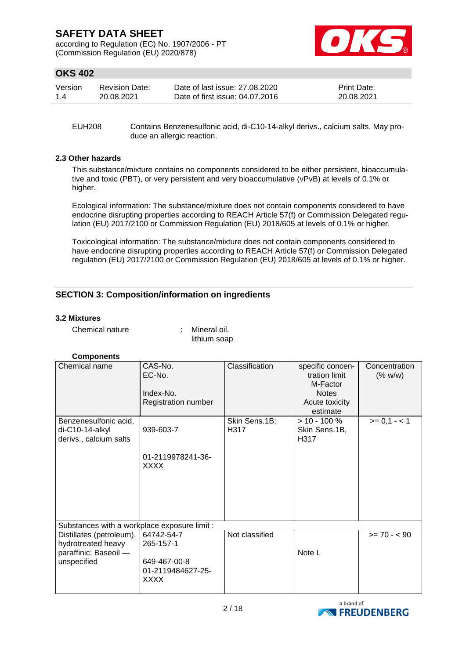according to Regulation (EC) No. 1907/2006 - PT (Commission Regulation (EU) 2020/878)



## **OKS 402**

| Version | <b>Revision Date:</b> | Date of last issue: 27,08,2020  | <b>Print Date:</b> |
|---------|-----------------------|---------------------------------|--------------------|
| 1.4     | 20.08.2021            | Date of first issue: 04.07.2016 | 20.08.2021         |

EUH208 Contains Benzenesulfonic acid, di-C10-14-alkyl derivs., calcium salts. May produce an allergic reaction.

#### **2.3 Other hazards**

This substance/mixture contains no components considered to be either persistent, bioaccumulative and toxic (PBT), or very persistent and very bioaccumulative (vPvB) at levels of 0.1% or higher.

Ecological information: The substance/mixture does not contain components considered to have endocrine disrupting properties according to REACH Article 57(f) or Commission Delegated regulation (EU) 2017/2100 or Commission Regulation (EU) 2018/605 at levels of 0.1% or higher.

Toxicological information: The substance/mixture does not contain components considered to have endocrine disrupting properties according to REACH Article 57(f) or Commission Delegated regulation (EU) 2017/2100 or Commission Regulation (EU) 2018/605 at levels of 0.1% or higher.

### **SECTION 3: Composition/information on ingredients**

#### **3.2 Mixtures**

Chemical nature : Mineral oil.

lithium soap

### **Components**

| Chemical name                                  | CAS-No.<br>EC-No.<br>Index-No.<br>Registration number | Classification        | specific concen-<br>tration limit<br>M-Factor<br><b>Notes</b><br>Acute toxicity<br>estimate | Concentration<br>(% w/w) |
|------------------------------------------------|-------------------------------------------------------|-----------------------|---------------------------------------------------------------------------------------------|--------------------------|
| Benzenesulfonic acid,<br>di-C10-14-alkyl       | 939-603-7                                             | Skin Sens.1B;<br>H317 | $> 10 - 100 \%$<br>Skin Sens.1B,                                                            | $>= 0,1 - 1$             |
| derivs., calcium salts                         |                                                       |                       | H317                                                                                        |                          |
|                                                | 01-2119978241-36-<br>XXXX                             |                       |                                                                                             |                          |
| Substances with a workplace exposure limit :   |                                                       |                       |                                                                                             |                          |
| Distillates (petroleum),<br>hydrotreated heavy | 64742-54-7<br>265-157-1                               | Not classified        |                                                                                             | $>= 70 - 90$             |
| paraffinic; Baseoil -                          |                                                       |                       | Note L                                                                                      |                          |
| unspecified                                    | 649-467-00-8<br>01-2119484627-25-<br>XXXX             |                       |                                                                                             |                          |

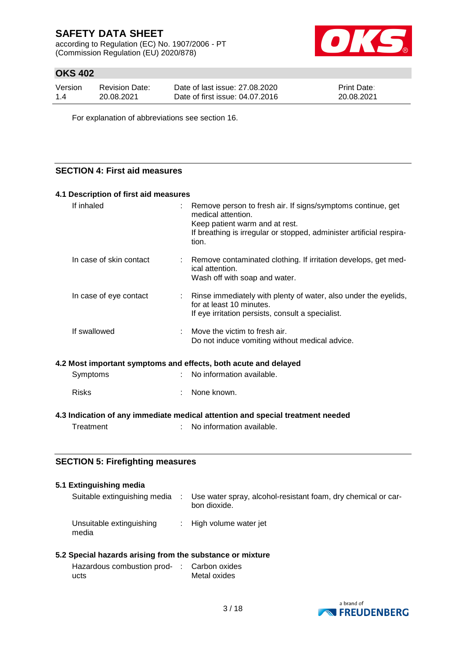according to Regulation (EC) No. 1907/2006 - PT (Commission Regulation (EU) 2020/878)



## **OKS 402**

| Version | <b>Revision Date:</b> | Date of last issue: 27,08,2020  | <b>Print Date:</b> |
|---------|-----------------------|---------------------------------|--------------------|
| 1.4     | 20.08.2021            | Date of first issue: 04.07.2016 | 20.08.2021         |

For explanation of abbreviations see section 16.

## **SECTION 4: First aid measures**

| 4.1 Description of first aid measures                           |                                                                                                                                                                                                      |
|-----------------------------------------------------------------|------------------------------------------------------------------------------------------------------------------------------------------------------------------------------------------------------|
| If inhaled                                                      | Remove person to fresh air. If signs/symptoms continue, get<br>medical attention.<br>Keep patient warm and at rest.<br>If breathing is irregular or stopped, administer artificial respira-<br>tion. |
| In case of skin contact                                         | Remove contaminated clothing. If irritation develops, get med-<br>ical attention.<br>Wash off with soap and water.                                                                                   |
| In case of eye contact                                          | Rinse immediately with plenty of water, also under the eyelids,<br>for at least 10 minutes.<br>If eye irritation persists, consult a specialist.                                                     |
| If swallowed                                                    | Move the victim to fresh air.<br>Do not induce vomiting without medical advice.                                                                                                                      |
| 4.2 Most important symptoms and effects, both acute and delayed |                                                                                                                                                                                                      |
| Symptoms                                                        | No information available.                                                                                                                                                                            |
| <b>Risks</b>                                                    | None known.                                                                                                                                                                                          |
|                                                                 | 4.3 Indication of any immediate medical attention and special treatment needed                                                                                                                       |
| Treatment<br>÷                                                  | No information available.                                                                                                                                                                            |
| <b>SECTION 5: Firefighting measures</b>                         |                                                                                                                                                                                                      |
| 5.1 Extinguishing media                                         |                                                                                                                                                                                                      |

| LAUTIQUISHING INCUID              |                                                                               |
|-----------------------------------|-------------------------------------------------------------------------------|
| Suitable extinguishing media      | Use water spray, alcohol-resistant foam, dry chemical or car-<br>bon dioxide. |
| Unsuitable extinguishing<br>media | $\therefore$ High volume water jet                                            |

## **5.2 Special hazards arising from the substance or mixture**

| Hazardous combustion prod- : Carbon oxides |              |
|--------------------------------------------|--------------|
| ucts                                       | Metal oxides |

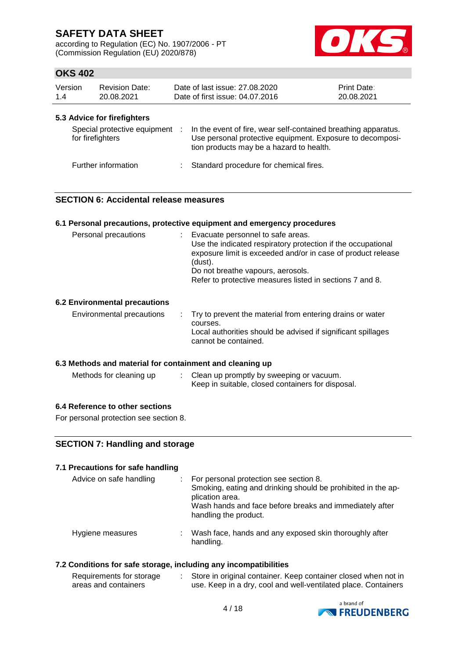according to Regulation (EC) No. 1907/2006 - PT (Commission Regulation (EU) 2020/878)



## **OKS 402**

| Version<br>1.4 |                                                 | <b>Revision Date:</b><br>20.08.2021 |     | Date of last issue: 27,08,2020<br>Date of first issue: 04.07.2016                                                                                                       | <b>Print Date:</b><br>20.08.2021 |
|----------------|-------------------------------------------------|-------------------------------------|-----|-------------------------------------------------------------------------------------------------------------------------------------------------------------------------|----------------------------------|
|                | 5.3 Advice for firefighters<br>for firefighters | Special protective equipment        | -11 | In the event of fire, wear self-contained breathing apparatus.<br>Use personal protective equipment. Exposure to decomposi-<br>tion products may be a hazard to health. |                                  |
|                | Further information                             |                                     |     | : Standard procedure for chemical fires.                                                                                                                                |                                  |

### **SECTION 6: Accidental release measures**

#### **6.1 Personal precautions, protective equipment and emergency procedures**

| Personal precautions | Evacuate personnel to safe areas.<br>Use the indicated respiratory protection if the occupational<br>exposure limit is exceeded and/or in case of product release<br>(dust).<br>Do not breathe vapours, aerosols.<br>Refer to protective measures listed in sections 7 and 8. |
|----------------------|-------------------------------------------------------------------------------------------------------------------------------------------------------------------------------------------------------------------------------------------------------------------------------|
|                      |                                                                                                                                                                                                                                                                               |

#### **6.2 Environmental precautions**

| courses.<br>cannot be contained. | Environmental precautions |  | . Try to prevent the material from entering drains or water<br>Local authorities should be advised if significant spillages |
|----------------------------------|---------------------------|--|-----------------------------------------------------------------------------------------------------------------------------|
|----------------------------------|---------------------------|--|-----------------------------------------------------------------------------------------------------------------------------|

### **6.3 Methods and material for containment and cleaning up**

| Methods for cleaning up | Clean up promptly by sweeping or vacuum.          |
|-------------------------|---------------------------------------------------|
|                         | Keep in suitable, closed containers for disposal. |

#### **6.4 Reference to other sections**

For personal protection see section 8.

### **SECTION 7: Handling and storage**

#### **7.1 Precautions for safe handling** Advice on safe handling : For personal protection see section 8.

| <b>AUVILE UIT SAIT HANDRING</b> | . TVI personal protection see section of<br>Smoking, eating and drinking should be prohibited in the ap-<br>plication area.<br>Wash hands and face before breaks and immediately after<br>handling the product. |
|---------------------------------|-----------------------------------------------------------------------------------------------------------------------------------------------------------------------------------------------------------------|
| Hygiene measures                | Wash face, hands and any exposed skin thoroughly after<br>handling.                                                                                                                                             |

#### **7.2 Conditions for safe storage, including any incompatibilities**

| Requirements for storage | Store in original container. Keep container closed when not in |
|--------------------------|----------------------------------------------------------------|
| areas and containers     | use. Keep in a dry, cool and well-ventilated place. Containers |

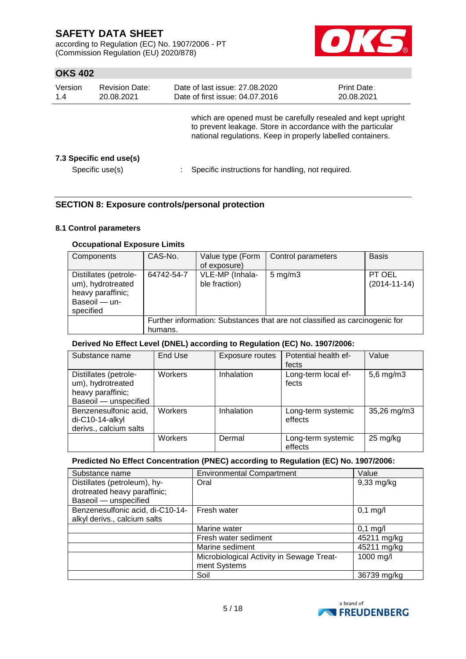according to Regulation (EC) No. 1907/2006 - PT (Commission Regulation (EU) 2020/878)



## **OKS 402**

| Version<br>1.4 | <b>Revision Date:</b><br>20.08.2021        | Date of last issue: 27.08.2020<br>Date of first issue: 04.07.2016                                                                                                                          | <b>Print Date:</b><br>20.08.2021 |  |
|----------------|--------------------------------------------|--------------------------------------------------------------------------------------------------------------------------------------------------------------------------------------------|----------------------------------|--|
|                |                                            | which are opened must be carefully resealed and kept upright<br>to prevent leakage. Store in accordance with the particular<br>national regulations. Keep in properly labelled containers. |                                  |  |
|                | 7.3 Specific end use(s)<br>Specific use(s) | Specific instructions for handling, not required.                                                                                                                                          |                                  |  |

### **SECTION 8: Exposure controls/personal protection**

#### **8.1 Control parameters**

### **Occupational Exposure Limits**

| Components                                                                                    | CAS-No.                                                                                | Value type (Form<br>of exposure) | Control parameters | <b>Basis</b>                 |  |  |
|-----------------------------------------------------------------------------------------------|----------------------------------------------------------------------------------------|----------------------------------|--------------------|------------------------------|--|--|
| Distillates (petrole-<br>um), hydrotreated<br>heavy paraffinic;<br>Baseoil - un-<br>specified | 64742-54-7                                                                             | VLE-MP (Inhala-<br>ble fraction) | $5 \text{ mg/m}$ 3 | PT OEL<br>$(2014 - 11 - 14)$ |  |  |
|                                                                                               | Further information: Substances that are not classified as carcinogenic for<br>humans. |                                  |                    |                              |  |  |

### **Derived No Effect Level (DNEL) according to Regulation (EC) No. 1907/2006:**

| Substance name                                                                           | End Use        | Exposure routes | Potential health ef-<br>fects | Value          |
|------------------------------------------------------------------------------------------|----------------|-----------------|-------------------------------|----------------|
| Distillates (petrole-<br>um), hydrotreated<br>heavy paraffinic;<br>Baseoil - unspecified | Workers        | Inhalation      | Long-term local ef-<br>fects  | $5,6$ mg/m $3$ |
| Benzenesulfonic acid,<br>di-C10-14-alkyl<br>derivs., calcium salts                       | <b>Workers</b> | Inhalation      | Long-term systemic<br>effects | 35,26 mg/m3    |
|                                                                                          | Workers        | Dermal          | Long-term systemic<br>effects | 25 mg/kg       |

## **Predicted No Effect Concentration (PNEC) according to Regulation (EC) No. 1907/2006:**

| Substance name                   | <b>Environmental Compartment</b>          | Value        |
|----------------------------------|-------------------------------------------|--------------|
| Distillates (petroleum), hy-     | Oral                                      | $9,33$ mg/kg |
| drotreated heavy paraffinic;     |                                           |              |
| Baseoil - unspecified            |                                           |              |
| Benzenesulfonic acid, di-C10-14- | Fresh water                               | $0,1$ mg/l   |
| alkyl derivs., calcium salts     |                                           |              |
|                                  | Marine water                              | $0,1$ mg/l   |
|                                  | Fresh water sediment                      | 45211 mg/kg  |
|                                  | Marine sediment                           | 45211 mg/kg  |
|                                  | Microbiological Activity in Sewage Treat- | 1000 mg/l    |
|                                  | ment Systems                              |              |
|                                  | Soil                                      | 36739 mg/kg  |

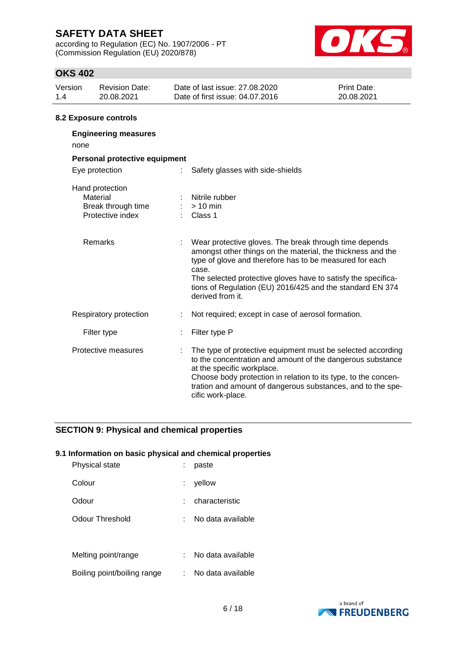according to Regulation (EC) No. 1907/2006 - PT (Commission Regulation (EU) 2020/878)



## **OKS 402**

| Version<br>1.4 | <b>Revision Date:</b><br>20.08.2021                                   |    | Date of last issue: 27.08.2020<br>Date of first issue: 04.07.2016                                                                                                                                                                                                                                                                           | Print Date:<br>20.08.2021 |
|----------------|-----------------------------------------------------------------------|----|---------------------------------------------------------------------------------------------------------------------------------------------------------------------------------------------------------------------------------------------------------------------------------------------------------------------------------------------|---------------------------|
|                | 8.2 Exposure controls                                                 |    |                                                                                                                                                                                                                                                                                                                                             |                           |
| none           | <b>Engineering measures</b>                                           |    |                                                                                                                                                                                                                                                                                                                                             |                           |
|                | Personal protective equipment                                         |    |                                                                                                                                                                                                                                                                                                                                             |                           |
|                | Eye protection                                                        | ÷. | Safety glasses with side-shields                                                                                                                                                                                                                                                                                                            |                           |
|                | Hand protection<br>Material<br>Break through time<br>Protective index |    | Nitrile rubber<br>$>10$ min<br>Class 1                                                                                                                                                                                                                                                                                                      |                           |
|                | Remarks                                                               |    | Wear protective gloves. The break through time depends<br>amongst other things on the material, the thickness and the<br>type of glove and therefore has to be measured for each<br>case.<br>The selected protective gloves have to satisfy the specifica-<br>tions of Regulation (EU) 2016/425 and the standard EN 374<br>derived from it. |                           |
|                | Respiratory protection                                                |    | Not required; except in case of aerosol formation.                                                                                                                                                                                                                                                                                          |                           |
|                | Filter type                                                           |    | Filter type P                                                                                                                                                                                                                                                                                                                               |                           |
|                | Protective measures                                                   |    | The type of protective equipment must be selected according<br>to the concentration and amount of the dangerous substance<br>at the specific workplace.<br>Choose body protection in relation to its type, to the concen-<br>tration and amount of dangerous substances, and to the spe-                                                    |                           |

cific work-place.

### **SECTION 9: Physical and chemical properties**

### **9.1 Information on basic physical and chemical properties**

| Physical state              | paste             |
|-----------------------------|-------------------|
| Colour                      | yellow            |
| Odour                       | characteristic    |
| Odour Threshold             | No data available |
|                             |                   |
| Melting point/range         | No data available |
| Boiling point/boiling range | No data available |

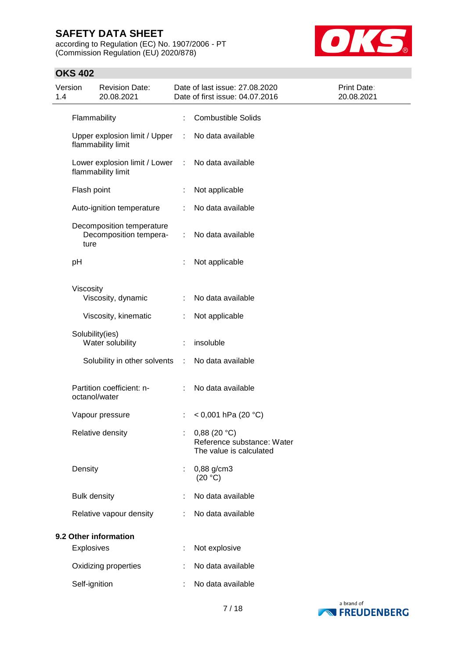according to Regulation (EC) No. 1907/2006 - PT (Commission Regulation (EU) 2020/878)



| 1.4 | Version             | <b>Revision Date:</b><br>20.08.2021                 |    | Date of last issue: 27.08.2020<br>Date of first issue: 04.07.2016        | Print Date:<br>20.08.2021 |
|-----|---------------------|-----------------------------------------------------|----|--------------------------------------------------------------------------|---------------------------|
|     | Flammability        |                                                     | ÷. | <b>Combustible Solids</b>                                                |                           |
|     |                     | Upper explosion limit / Upper<br>flammability limit | ÷  | No data available                                                        |                           |
|     |                     | Lower explosion limit / Lower<br>flammability limit | ÷  | No data available                                                        |                           |
|     | Flash point         |                                                     |    | Not applicable                                                           |                           |
|     |                     | Auto-ignition temperature                           |    | No data available                                                        |                           |
|     | ture                | Decomposition temperature<br>Decomposition tempera- | ÷  | No data available                                                        |                           |
|     | pH                  |                                                     |    | Not applicable                                                           |                           |
|     | Viscosity           | Viscosity, dynamic                                  |    | No data available                                                        |                           |
|     |                     | Viscosity, kinematic                                |    | Not applicable                                                           |                           |
|     | Solubility(ies)     | Water solubility                                    |    | insoluble                                                                |                           |
|     |                     | Solubility in other solvents                        | ÷  | No data available                                                        |                           |
|     | octanol/water       | Partition coefficient: n-                           |    | No data available                                                        |                           |
|     |                     | Vapour pressure                                     | ÷  | $<$ 0,001 hPa (20 °C)                                                    |                           |
|     |                     | Relative density                                    |    | : $0,88(20 °C)$<br>Reference substance: Water<br>The value is calculated |                           |
|     | Density             |                                                     | ÷  | 0,88 g/cm3<br>(20 °C)                                                    |                           |
|     | <b>Bulk density</b> |                                                     |    | No data available                                                        |                           |
|     |                     | Relative vapour density                             |    | No data available                                                        |                           |
|     |                     | 9.2 Other information                               |    |                                                                          |                           |
|     | Explosives          |                                                     |    | Not explosive                                                            |                           |
|     |                     | Oxidizing properties                                |    | No data available                                                        |                           |
|     | Self-ignition       |                                                     |    | No data available                                                        |                           |

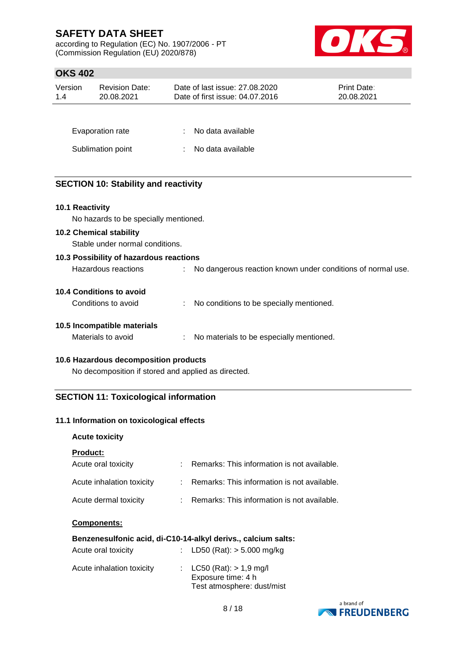according to Regulation (EC) No. 1907/2006 - PT (Commission Regulation (EU) 2020/878)



## **OKS 402**

| JI NU TVL       |                                                                   |                                                                   |                           |
|-----------------|-------------------------------------------------------------------|-------------------------------------------------------------------|---------------------------|
| Version<br>1.4  | <b>Revision Date:</b><br>20.08.2021                               | Date of last issue: 27.08.2020<br>Date of first issue: 04.07.2016 | Print Date:<br>20.08.2021 |
|                 |                                                                   |                                                                   |                           |
|                 | Evaporation rate                                                  | No data available                                                 |                           |
|                 | Sublimation point                                                 | No data available                                                 |                           |
|                 |                                                                   |                                                                   |                           |
|                 | <b>SECTION 10: Stability and reactivity</b>                       |                                                                   |                           |
| 10.1 Reactivity |                                                                   |                                                                   |                           |
|                 | No hazards to be specially mentioned.                             |                                                                   |                           |
|                 | <b>10.2 Chemical stability</b><br>Stable under normal conditions. |                                                                   |                           |
|                 |                                                                   |                                                                   |                           |
|                 | 10.3 Possibility of hazardous reactions                           |                                                                   |                           |
|                 | Hazardous reactions                                               | No dangerous reaction known under conditions of normal use.       |                           |
|                 | <b>10.4 Conditions to avoid</b>                                   |                                                                   |                           |
|                 | Conditions to avoid                                               | No conditions to be specially mentioned.                          |                           |
|                 | 10.5 Incompatible materials                                       |                                                                   |                           |
|                 | Materials to avoid                                                | No materials to be especially mentioned.                          |                           |

#### **10.6 Hazardous decomposition products**

No decomposition if stored and applied as directed.

### **SECTION 11: Toxicological information**

#### **11.1 Information on toxicological effects**

#### **Acute toxicity**

### **Product:**

| Acute oral toxicity       | : Remarks: This information is not available. |
|---------------------------|-----------------------------------------------|
| Acute inhalation toxicity | : Remarks: This information is not available. |
| Acute dermal toxicity     | : Remarks: This information is not available. |

#### **Components:**

|                     | Benzenesulfonic acid, di-C10-14-alkyl derivs., calcium salts: |
|---------------------|---------------------------------------------------------------|
| Acute oral toxicity | : LD50 (Rat): $>$ 5.000 mg/kg                                 |

| Acute inhalation toxicity | : $LC50 (Rat) > 1.9 mg/l$<br>Exposure time: 4 h<br>Test atmosphere: dust/mist |
|---------------------------|-------------------------------------------------------------------------------|
|                           |                                                                               |

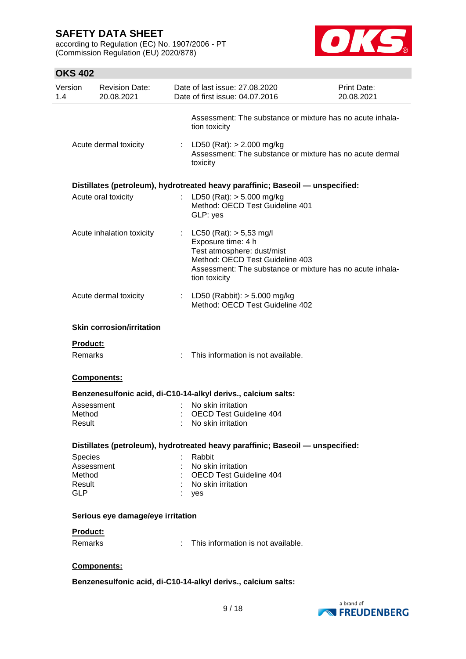according to Regulation (EC) No. 1907/2006 - PT (Commission Regulation (EU) 2020/878)



| Version          | <b>Revision Date:</b><br>20.08.2021 |    | Date of last issue: 27.08.2020<br>Date of first issue: 04.07.2016                                                                                                                                | <b>Print Date:</b><br>20.08.2021 |
|------------------|-------------------------------------|----|--------------------------------------------------------------------------------------------------------------------------------------------------------------------------------------------------|----------------------------------|
|                  |                                     |    | Assessment: The substance or mixture has no acute inhala-<br>tion toxicity                                                                                                                       |                                  |
|                  | Acute dermal toxicity               |    | : LD50 (Rat): $> 2.000$ mg/kg<br>Assessment: The substance or mixture has no acute dermal<br>toxicity                                                                                            |                                  |
|                  |                                     |    | Distillates (petroleum), hydrotreated heavy paraffinic; Baseoil — unspecified:                                                                                                                   |                                  |
|                  | Acute oral toxicity                 |    | LD50 (Rat): $> 5.000$ mg/kg<br>Method: OECD Test Guideline 401<br>GLP: yes                                                                                                                       |                                  |
|                  | Acute inhalation toxicity           |    | : $LC50 (Rat): > 5,53 mg/l$<br>Exposure time: 4 h<br>Test atmosphere: dust/mist<br>Method: OECD Test Guideline 403<br>Assessment: The substance or mixture has no acute inhala-<br>tion toxicity |                                  |
|                  | Acute dermal toxicity               |    | : LD50 (Rabbit): $> 5.000$ mg/kg<br>Method: OECD Test Guideline 402                                                                                                                              |                                  |
|                  | <b>Skin corrosion/irritation</b>    |    |                                                                                                                                                                                                  |                                  |
| <b>Product:</b>  |                                     |    |                                                                                                                                                                                                  |                                  |
| <b>Remarks</b>   |                                     |    | This information is not available.                                                                                                                                                               |                                  |
|                  | Components:                         |    |                                                                                                                                                                                                  |                                  |
|                  |                                     |    | Benzenesulfonic acid, di-C10-14-alkyl derivs., calcium salts:                                                                                                                                    |                                  |
|                  | Assessment                          |    | No skin irritation                                                                                                                                                                               |                                  |
| Method<br>Result |                                     |    | <b>OECD Test Guideline 404</b><br>No skin irritation                                                                                                                                             |                                  |
|                  |                                     |    |                                                                                                                                                                                                  |                                  |
|                  |                                     |    | Distillates (petroleum), hydrotreated heavy paraffinic; Baseoil — unspecified:                                                                                                                   |                                  |
| Species          |                                     |    | Rabbit                                                                                                                                                                                           |                                  |
|                  | Assessment                          |    | No skin irritation                                                                                                                                                                               |                                  |
| Method           |                                     |    | <b>OECD Test Guideline 404</b>                                                                                                                                                                   |                                  |
| Result           |                                     |    | : No skin irritation                                                                                                                                                                             |                                  |
| <b>GLP</b>       |                                     |    | : yes                                                                                                                                                                                            |                                  |
|                  | Serious eye damage/eye irritation   |    |                                                                                                                                                                                                  |                                  |
| Product:         |                                     |    |                                                                                                                                                                                                  |                                  |
| Remarks          |                                     | ÷. | This information is not available.                                                                                                                                                               |                                  |
|                  |                                     |    |                                                                                                                                                                                                  |                                  |
|                  | Components:                         |    |                                                                                                                                                                                                  |                                  |
|                  |                                     |    | Benzenesulfonic acid, di-C10-14-alkyl derivs., calcium salts:                                                                                                                                    |                                  |

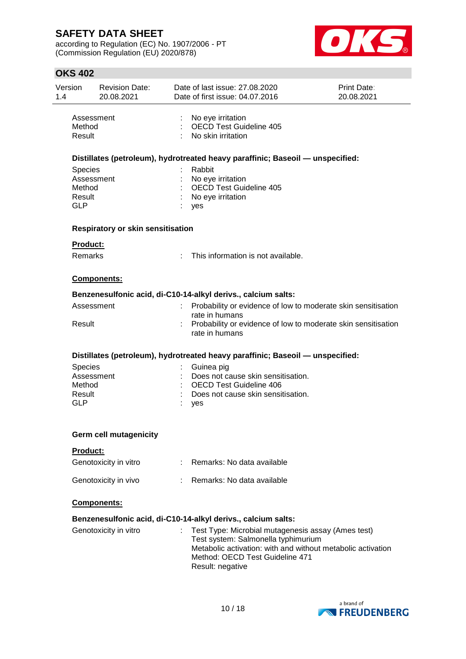according to Regulation (EC) No. 1907/2006 - PT (Commission Regulation (EU) 2020/878)



| Version<br>1.4                                   | <b>Revision Date:</b><br>20.08.2021      |   | Date of last issue: 27,08,2020<br>Date of first issue: 04.07.2016                                                                                                                                               | Print Date:<br>20.08.2021 |
|--------------------------------------------------|------------------------------------------|---|-----------------------------------------------------------------------------------------------------------------------------------------------------------------------------------------------------------------|---------------------------|
| Method<br>Result                                 | Assessment                               |   | No eye irritation<br><b>OECD Test Guideline 405</b><br>No skin irritation                                                                                                                                       |                           |
|                                                  |                                          |   | Distillates (petroleum), hydrotreated heavy paraffinic; Baseoil — unspecified:                                                                                                                                  |                           |
| <b>Species</b><br>Method<br>Result<br><b>GLP</b> | Assessment                               |   | Rabbit<br>No eye irritation<br><b>OECD Test Guideline 405</b><br>No eye irritation<br>yes                                                                                                                       |                           |
|                                                  | <b>Respiratory or skin sensitisation</b> |   |                                                                                                                                                                                                                 |                           |
| Product:                                         |                                          |   |                                                                                                                                                                                                                 |                           |
| Remarks                                          |                                          | ÷ | This information is not available.                                                                                                                                                                              |                           |
|                                                  | Components:                              |   |                                                                                                                                                                                                                 |                           |
|                                                  |                                          |   | Benzenesulfonic acid, di-C10-14-alkyl derivs., calcium salts:                                                                                                                                                   |                           |
|                                                  | Assessment                               |   | Probability or evidence of low to moderate skin sensitisation                                                                                                                                                   |                           |
| Result                                           |                                          |   | rate in humans<br>Probability or evidence of low to moderate skin sensitisation<br>rate in humans                                                                                                               |                           |
|                                                  |                                          |   | Distillates (petroleum), hydrotreated heavy paraffinic; Baseoil — unspecified:                                                                                                                                  |                           |
| Species<br>Method<br>Result<br><b>GLP</b>        | Assessment                               |   | Guinea pig<br>Does not cause skin sensitisation.<br>OECD Test Guideline 406<br>Does not cause skin sensitisation.<br>yes                                                                                        |                           |
|                                                  | <b>Germ cell mutagenicity</b>            |   |                                                                                                                                                                                                                 |                           |
| <b>Product:</b>                                  |                                          |   |                                                                                                                                                                                                                 |                           |
|                                                  | Genotoxicity in vitro                    |   | : Remarks: No data available                                                                                                                                                                                    |                           |
|                                                  | Genotoxicity in vivo                     |   | Remarks: No data available                                                                                                                                                                                      |                           |
|                                                  | Components:                              |   |                                                                                                                                                                                                                 |                           |
|                                                  |                                          |   | Benzenesulfonic acid, di-C10-14-alkyl derivs., calcium salts:                                                                                                                                                   |                           |
|                                                  | Genotoxicity in vitro                    |   | Test Type: Microbial mutagenesis assay (Ames test)<br>Test system: Salmonella typhimurium<br>Metabolic activation: with and without metabolic activation<br>Method: OECD Test Guideline 471<br>Result: negative |                           |
|                                                  |                                          |   |                                                                                                                                                                                                                 |                           |

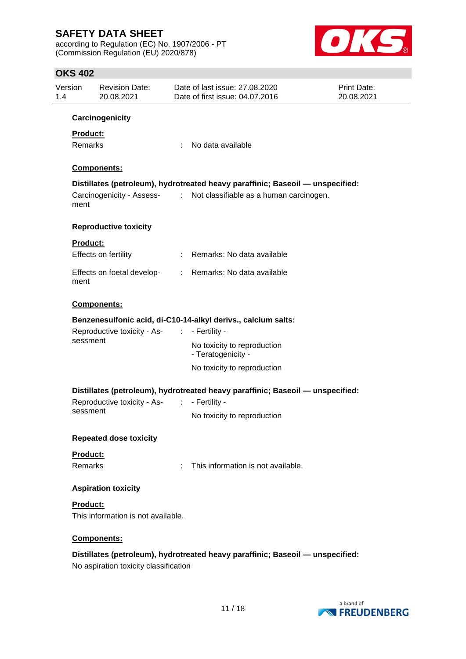according to Regulation (EC) No. 1907/2006 - PT (Commission Regulation (EU) 2020/878)



| Version<br>1.4                    | <b>Revision Date:</b><br>20.08.2021         | Date of last issue: 27.08.2020<br>Date of first issue: 04.07.2016                                                                                     | Print Date:<br>20.08.2021 |  |
|-----------------------------------|---------------------------------------------|-------------------------------------------------------------------------------------------------------------------------------------------------------|---------------------------|--|
|                                   | Carcinogenicity                             |                                                                                                                                                       |                           |  |
| <b>Product:</b><br><b>Remarks</b> |                                             | No data available                                                                                                                                     |                           |  |
|                                   | Components:                                 |                                                                                                                                                       |                           |  |
| ment                              |                                             | Distillates (petroleum), hydrotreated heavy paraffinic; Baseoil — unspecified:<br>Carcinogenicity - Assess- : Not classifiable as a human carcinogen. |                           |  |
|                                   | <b>Reproductive toxicity</b>                |                                                                                                                                                       |                           |  |
| <b>Product:</b>                   |                                             |                                                                                                                                                       |                           |  |
|                                   | Effects on fertility                        | : Remarks: No data available                                                                                                                          |                           |  |
| ment                              |                                             | Effects on foetal develop- : Remarks: No data available                                                                                               |                           |  |
|                                   | Components:                                 |                                                                                                                                                       |                           |  |
|                                   |                                             | Benzenesulfonic acid, di-C10-14-alkyl derivs., calcium salts:                                                                                         |                           |  |
|                                   | Reproductive toxicity - As- : - Fertility - |                                                                                                                                                       |                           |  |
|                                   | sessment                                    | No toxicity to reproduction<br>- Teratogenicity -                                                                                                     |                           |  |
|                                   |                                             | No toxicity to reproduction                                                                                                                           |                           |  |
|                                   |                                             | Distillates (petroleum), hydrotreated heavy paraffinic; Baseoil - unspecified:                                                                        |                           |  |
|                                   | Reproductive toxicity - As- :               | - Fertility -                                                                                                                                         |                           |  |
| sessment                          |                                             | No toxicity to reproduction                                                                                                                           |                           |  |
|                                   | <b>Repeated dose toxicity</b>               |                                                                                                                                                       |                           |  |
| Product:                          |                                             |                                                                                                                                                       |                           |  |
| Remarks                           |                                             | This information is not available.                                                                                                                    |                           |  |
|                                   | <b>Aspiration toxicity</b>                  |                                                                                                                                                       |                           |  |
| <b>Product:</b>                   | This information is not available.          |                                                                                                                                                       |                           |  |
|                                   | Components:                                 |                                                                                                                                                       |                           |  |
|                                   |                                             | Distillates (petroleum), hydrotreated heavy paraffinic; Baseoil - unspecified:                                                                        |                           |  |
|                                   | No aspiration toxicity classification       |                                                                                                                                                       |                           |  |
|                                   |                                             |                                                                                                                                                       |                           |  |

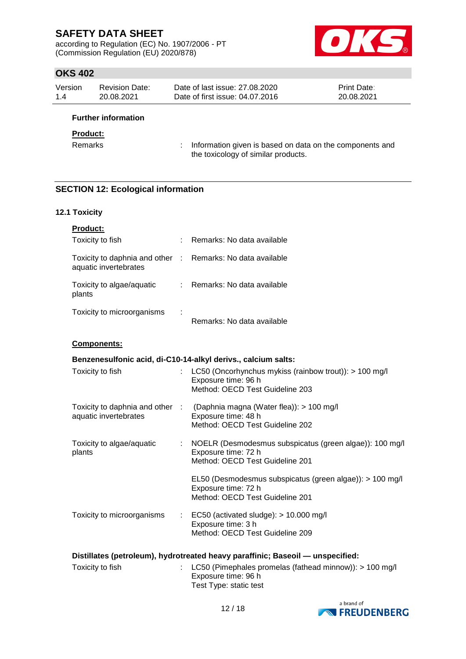according to Regulation (EC) No. 1907/2006 - PT (Commission Regulation (EU) 2020/878)



## **OKS 402**

| Version | Revision Date: | Date of last issue: 27,08,2020  | <b>Print Date:</b> |
|---------|----------------|---------------------------------|--------------------|
| 1.4     | 20.08.2021     | Date of first issue: 04.07.2016 | 20.08.2021         |

### **Further information**

#### **Product:**

Remarks : Information given is based on data on the components and the toxicology of similar products.

### **SECTION 12: Ecological information**

#### **12.1 Toxicity**

| <b>Product:</b>                                          |   |                            |
|----------------------------------------------------------|---|----------------------------|
| Toxicity to fish                                         |   | Remarks: No data available |
| Toxicity to daphnia and other :<br>aquatic invertebrates |   | Remarks: No data available |
| Toxicity to algae/aquatic<br>plants                      |   | Remarks: No data available |
| Toxicity to microorganisms                               | ÷ | Remarks: No data available |

#### **Components:**

| Benzenesulfonic acid, di-C10-14-alkyl derivs., calcium salts:                  |  |                                                                                                                                    |  |  |  |
|--------------------------------------------------------------------------------|--|------------------------------------------------------------------------------------------------------------------------------------|--|--|--|
| Toxicity to fish                                                               |  | : LC50 (Oncorhynchus mykiss (rainbow trout)): $> 100$ mg/l<br>Exposure time: 96 h<br>Method: OECD Test Guideline 203               |  |  |  |
| aquatic invertebrates                                                          |  | Toxicity to daphnia and other : (Daphnia magna (Water flea)): > 100 mg/l<br>Exposure time: 48 h<br>Method: OECD Test Guideline 202 |  |  |  |
| Toxicity to algae/aquatic<br>plants                                            |  | : NOELR (Desmodesmus subspicatus (green algae)): 100 mg/l<br>Exposure time: 72 h<br>Method: OECD Test Guideline 201                |  |  |  |
|                                                                                |  | EL50 (Desmodesmus subspicatus (green algae)): > 100 mg/l<br>Exposure time: 72 h<br>Method: OECD Test Guideline 201                 |  |  |  |
| Toxicity to microorganisms                                                     |  | $\therefore$ EC50 (activated sludge): > 10.000 mg/l<br>Exposure time: 3 h<br>Method: OECD Test Guideline 209                       |  |  |  |
| Distillatos (potroloum), budrotroatod boavy paraffinie: Pasooil — unspecified: |  |                                                                                                                                    |  |  |  |

| Distinates (petroleum), hydrotreated neavy paraminic; baseoil — unspecified: |  |                                                                      |  |  |  |  |
|------------------------------------------------------------------------------|--|----------------------------------------------------------------------|--|--|--|--|
| Toxicity to fish                                                             |  | $\therefore$ LC50 (Pimephales promelas (fathead minnow)): > 100 mg/l |  |  |  |  |
|                                                                              |  | Exposure time: 96 h                                                  |  |  |  |  |
|                                                                              |  | Test Type: static test                                               |  |  |  |  |

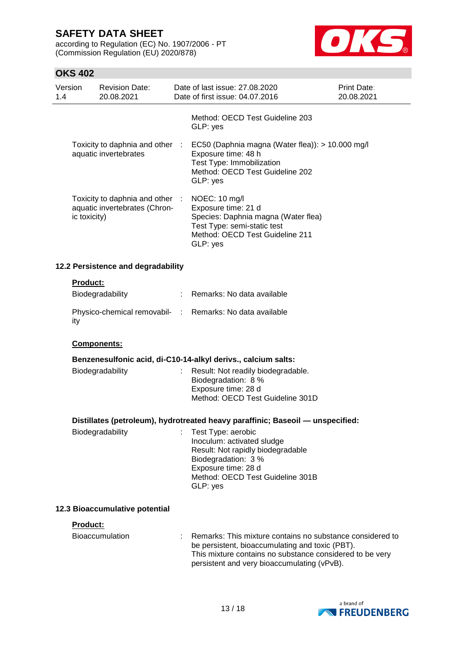according to Regulation (EC) No. 1907/2006 - PT (Commission Regulation (EU) 2020/878)



|                | UKJ 402      |                                                                  |                                                                                                                                                                                                                         |                                  |
|----------------|--------------|------------------------------------------------------------------|-------------------------------------------------------------------------------------------------------------------------------------------------------------------------------------------------------------------------|----------------------------------|
| Version<br>1.4 |              | <b>Revision Date:</b><br>20.08.2021                              | Date of last issue: 27.08.2020<br>Date of first issue: 04.07.2016                                                                                                                                                       | <b>Print Date:</b><br>20.08.2021 |
|                |              |                                                                  | Method: OECD Test Guideline 203<br>GLP: yes                                                                                                                                                                             |                                  |
|                |              | Toxicity to daphnia and other :<br>aquatic invertebrates         | EC50 (Daphnia magna (Water flea)): > 10.000 mg/l<br>Exposure time: 48 h<br>Test Type: Immobilization<br>Method: OECD Test Guideline 202<br>GLP: yes                                                                     |                                  |
|                | ic toxicity) | Toxicity to daphnia and other :<br>aquatic invertebrates (Chron- | NOEC: 10 mg/l<br>Exposure time: 21 d<br>Species: Daphnia magna (Water flea)<br>Test Type: semi-static test<br>Method: OECD Test Guideline 211<br>GLP: yes                                                               |                                  |
|                |              | 12.2 Persistence and degradability                               |                                                                                                                                                                                                                         |                                  |
|                | Product:     | Biodegradability                                                 | : Remarks: No data available                                                                                                                                                                                            |                                  |
|                | ity          |                                                                  | Physico-chemical removabil- : Remarks: No data available                                                                                                                                                                |                                  |
|                |              | Components:                                                      |                                                                                                                                                                                                                         |                                  |
|                |              |                                                                  | Benzenesulfonic acid, di-C10-14-alkyl derivs., calcium salts:                                                                                                                                                           |                                  |
|                |              | Biodegradability                                                 | Result: Not readily biodegradable.<br>Biodegradation: 8 %<br>Exposure time: 28 d<br>Method: OECD Test Guideline 301D                                                                                                    |                                  |
|                |              |                                                                  | Distillates (petroleum), hydrotreated heavy paraffinic; Baseoil — unspecified:                                                                                                                                          |                                  |
|                |              | Biodegradability                                                 | Test Type: aerobic<br>Inoculum: activated sludge<br>Result: Not rapidly biodegradable<br>Biodegradation: 3 %<br>Exposure time: 28 d<br>Method: OECD Test Guideline 301B<br>GLP: yes                                     |                                  |
|                |              | 12.3 Bioaccumulative potential                                   |                                                                                                                                                                                                                         |                                  |
|                | Product:     |                                                                  |                                                                                                                                                                                                                         |                                  |
|                |              | <b>Bioaccumulation</b>                                           | Remarks: This mixture contains no substance considered to<br>be persistent, bioaccumulating and toxic (PBT).<br>This mixture contains no substance considered to be very<br>persistent and very bioaccumulating (vPvB). |                                  |
|                |              |                                                                  |                                                                                                                                                                                                                         |                                  |

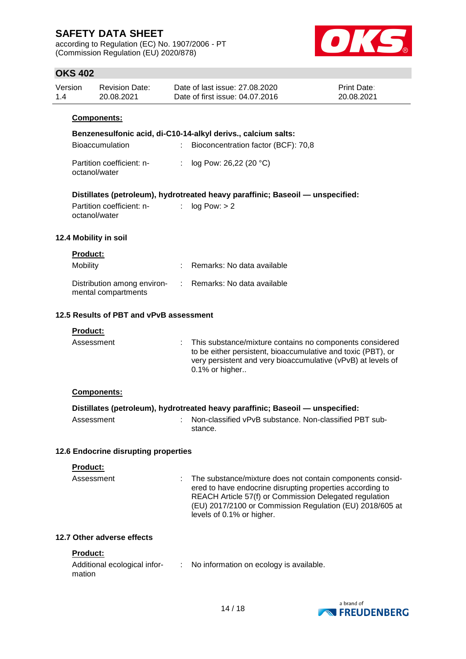according to Regulation (EC) No. 1907/2006 - PT (Commission Regulation (EU) 2020/878)



## **OKS 402**

| Version | Revision Date: | Date of last issue: 27,08,2020  | <b>Print Date:</b> |
|---------|----------------|---------------------------------|--------------------|
| 1.4     | 20.08.2021     | Date of first issue: 04.07.2016 | 20.08.2021         |

#### **Components:**

|  | Benzenesulfonic acid, di-C10-14-alkyl derivs., calcium salts: |  |  |
|--|---------------------------------------------------------------|--|--|
|  |                                                               |  |  |

| Bioaccumulation                            | Bioconcentration factor (BCF): 70,8 |
|--------------------------------------------|-------------------------------------|
| Partition coefficient: n-<br>octanol/water | : $log Pow: 26,22 (20 °C)$          |

### **Distillates (petroleum), hydrotreated heavy paraffinic; Baseoil — unspecified:**

Partition coefficient: n- : log Pow: > 2 octanol/water

#### **12.4 Mobility in soil**

| <b>Product:</b>                                    |                              |
|----------------------------------------------------|------------------------------|
| Mobility                                           | : Remarks: No data available |
| Distribution among environ-<br>mental compartments | : Remarks: No data available |

#### **12.5 Results of PBT and vPvB assessment**

| Assessment | This substance/mixture contains no components considered<br>to be either persistent, bioaccumulative and toxic (PBT), or<br>very persistent and very bioaccumulative (vPvB) at levels of |
|------------|------------------------------------------------------------------------------------------------------------------------------------------------------------------------------------------|
|            | $0.1\%$ or higher                                                                                                                                                                        |

#### **Components:**

| Distillates (petroleum), hydrotreated heavy paraffinic; Baseoil — unspecified: |  |                                                                   |  |
|--------------------------------------------------------------------------------|--|-------------------------------------------------------------------|--|
| Assessment                                                                     |  | Non-classified vPvB substance. Non-classified PBT sub-<br>stance. |  |

#### **12.6 Endocrine disrupting properties**

**Product:**

| Assessment | : The substance/mixture does not contain components consid- |
|------------|-------------------------------------------------------------|
|            | ered to have endocrine disrupting properties according to   |
|            | REACH Article 57(f) or Commission Delegated regulation      |
|            | (EU) 2017/2100 or Commission Regulation (EU) 2018/605 at    |
|            | levels of 0.1% or higher.                                   |

### **12.7 Other adverse effects**

#### **Product:**

| Additional ecological infor- | No information on ecology is available. |
|------------------------------|-----------------------------------------|
| mation                       |                                         |

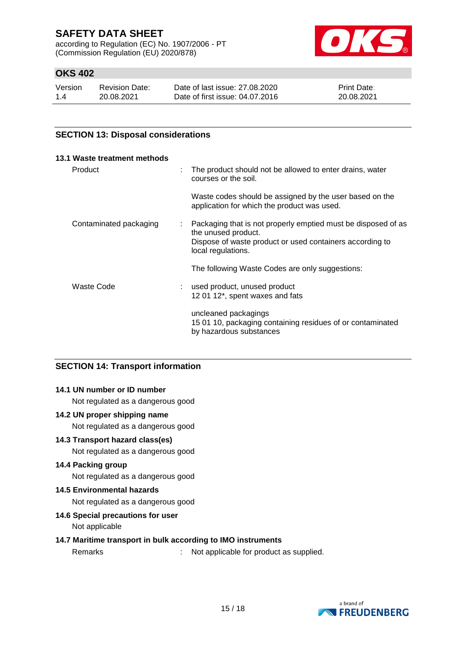according to Regulation (EC) No. 1907/2006 - PT (Commission Regulation (EU) 2020/878)



## **OKS 402**

| Version | <b>Revision Date:</b> | Date of last issue: 27,08,2020  | <b>Print Date:</b> |
|---------|-----------------------|---------------------------------|--------------------|
| 1.4     | 20.08.2021            | Date of first issue: 04.07.2016 | 20.08.2021         |

### **SECTION 13: Disposal considerations**

| 13.1 Waste treatment methods |                                                                                                                                                                        |
|------------------------------|------------------------------------------------------------------------------------------------------------------------------------------------------------------------|
| Product<br>÷                 | The product should not be allowed to enter drains, water<br>courses or the soil.                                                                                       |
|                              | Waste codes should be assigned by the user based on the<br>application for which the product was used.                                                                 |
| Contaminated packaging<br>÷  | Packaging that is not properly emptied must be disposed of as<br>the unused product.<br>Dispose of waste product or used containers according to<br>local regulations. |
|                              | The following Waste Codes are only suggestions:                                                                                                                        |
| Waste Code                   | used product, unused product<br>12 01 12*, spent waxes and fats                                                                                                        |
|                              | uncleaned packagings<br>15 01 10, packaging containing residues of or contaminated<br>by hazardous substances                                                          |

### **SECTION 14: Transport information**

### **14.1 UN number or ID number**

Not regulated as a dangerous good

#### **14.2 UN proper shipping name**

Not regulated as a dangerous good

#### **14.3 Transport hazard class(es)**

Not regulated as a dangerous good

### **14.4 Packing group**

Not regulated as a dangerous good

#### **14.5 Environmental hazards**

Not regulated as a dangerous good

#### **14.6 Special precautions for user**

Not applicable

#### **14.7 Maritime transport in bulk according to IMO instruments**

Remarks : Not applicable for product as supplied.

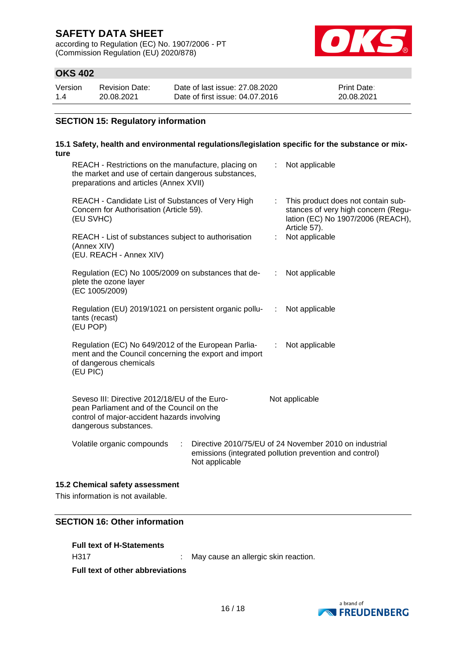according to Regulation (EC) No. 1907/2006 - PT (Commission Regulation (EU) 2020/878)



## **OKS 402**

| Version | <b>Revision Date:</b> | Date of last issue: 27,08,2020  | <b>Print Date:</b> |
|---------|-----------------------|---------------------------------|--------------------|
| 1.4     | 20.08.2021            | Date of first issue: 04.07.2016 | 20.08.2021         |

### **SECTION 15: Regulatory information**

## **15.1 Safety, health and environmental regulations/legislation specific for the substance or mixture**

| REACH - Restrictions on the manufacture, placing on<br>the market and use of certain dangerous substances,<br>preparations and articles (Annex XVII)               |                |                           | Not applicable                                                                                                                   |
|--------------------------------------------------------------------------------------------------------------------------------------------------------------------|----------------|---------------------------|----------------------------------------------------------------------------------------------------------------------------------|
| REACH - Candidate List of Substances of Very High<br>Concern for Authorisation (Article 59).<br>(EU SVHC)                                                          |                |                           | : This product does not contain sub-<br>stances of very high concern (Regu-<br>lation (EC) No 1907/2006 (REACH),<br>Article 57). |
| REACH - List of substances subject to authorisation<br>(Annex XIV)<br>(EU. REACH - Annex XIV)                                                                      |                |                           | Not applicable                                                                                                                   |
| Regulation (EC) No 1005/2009 on substances that de-<br>plete the ozone layer<br>(EC 1005/2009)                                                                     |                | $\mathbb{R}^{\mathbb{Z}}$ | Not applicable                                                                                                                   |
| Regulation (EU) 2019/1021 on persistent organic pollu-<br>tants (recast)<br>(EU POP)                                                                               |                | ÷.                        | Not applicable                                                                                                                   |
| Regulation (EC) No 649/2012 of the European Parlia-<br>ment and the Council concerning the export and import<br>of dangerous chemicals<br>(EU PIC)                 |                | ÷                         | Not applicable                                                                                                                   |
| Seveso III: Directive 2012/18/EU of the Euro-<br>pean Parliament and of the Council on the<br>control of major-accident hazards involving<br>dangerous substances. |                |                           | Not applicable                                                                                                                   |
| Volatile organic compounds<br>t.                                                                                                                                   | Not applicable |                           | Directive 2010/75/EU of 24 November 2010 on industrial<br>emissions (integrated pollution prevention and control)                |

## **15.2 Chemical safety assessment**

This information is not available.

### **SECTION 16: Other information**

| <b>Full text of H-Statements</b> |                |
|----------------------------------|----------------|
| H317                             | Mav cause an a |

allergic skin reaction.

**Full text of other abbreviations**

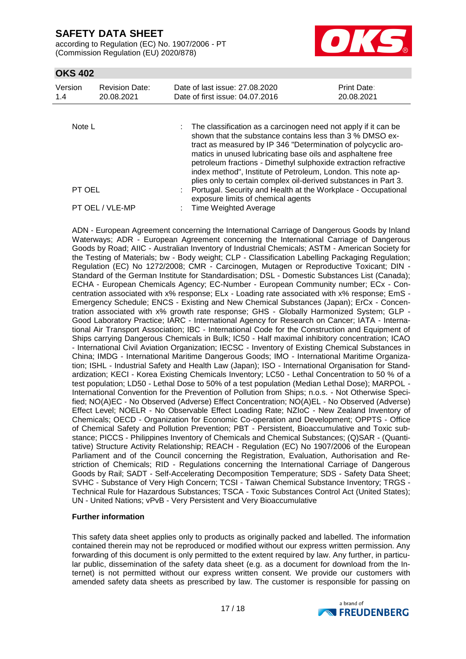according to Regulation (EC) No. 1907/2006 - PT (Commission Regulation (EU) 2020/878)



## **OKS 402**

| Version<br>1.4 | <b>Revision Date:</b><br>20.08.2021 | Date of last issue: 27,08,2020<br>Date of first issue: 04.07.2016                                                                                                                                                                                                                                                                 | Print Date:<br>20.08.2021 |  |  |
|----------------|-------------------------------------|-----------------------------------------------------------------------------------------------------------------------------------------------------------------------------------------------------------------------------------------------------------------------------------------------------------------------------------|---------------------------|--|--|
| Note $L$       |                                     | The classification as a carcinogen need not apply if it can be<br>shown that the substance contains less than 3 % DMSO ex-                                                                                                                                                                                                        |                           |  |  |
|                |                                     | tract as measured by IP 346 "Determination of polycyclic aro-<br>matics in unused lubricating base oils and asphaltene free<br>petroleum fractions - Dimethyl sulphoxide extraction refractive<br>index method", Institute of Petroleum, London. This note ap-<br>plies only to certain complex oil-derived substances in Part 3. |                           |  |  |
| PT OEL         |                                     | Portugal. Security and Health at the Workplace - Occupational<br>exposure limits of chemical agents                                                                                                                                                                                                                               |                           |  |  |
|                | PT OEL / VLE-MP                     | <b>Time Weighted Average</b>                                                                                                                                                                                                                                                                                                      |                           |  |  |

ADN - European Agreement concerning the International Carriage of Dangerous Goods by Inland Waterways; ADR - European Agreement concerning the International Carriage of Dangerous Goods by Road; AIIC - Australian Inventory of Industrial Chemicals; ASTM - American Society for the Testing of Materials; bw - Body weight; CLP - Classification Labelling Packaging Regulation; Regulation (EC) No 1272/2008; CMR - Carcinogen, Mutagen or Reproductive Toxicant; DIN - Standard of the German Institute for Standardisation; DSL - Domestic Substances List (Canada); ECHA - European Chemicals Agency; EC-Number - European Community number; ECx - Concentration associated with x% response; ELx - Loading rate associated with x% response; EmS - Emergency Schedule; ENCS - Existing and New Chemical Substances (Japan); ErCx - Concentration associated with x% growth rate response; GHS - Globally Harmonized System; GLP - Good Laboratory Practice; IARC - International Agency for Research on Cancer; IATA - International Air Transport Association; IBC - International Code for the Construction and Equipment of Ships carrying Dangerous Chemicals in Bulk; IC50 - Half maximal inhibitory concentration; ICAO - International Civil Aviation Organization; IECSC - Inventory of Existing Chemical Substances in China; IMDG - International Maritime Dangerous Goods; IMO - International Maritime Organization; ISHL - Industrial Safety and Health Law (Japan); ISO - International Organisation for Standardization; KECI - Korea Existing Chemicals Inventory; LC50 - Lethal Concentration to 50 % of a test population; LD50 - Lethal Dose to 50% of a test population (Median Lethal Dose); MARPOL - International Convention for the Prevention of Pollution from Ships; n.o.s. - Not Otherwise Specified; NO(A)EC - No Observed (Adverse) Effect Concentration; NO(A)EL - No Observed (Adverse) Effect Level; NOELR - No Observable Effect Loading Rate; NZIoC - New Zealand Inventory of Chemicals; OECD - Organization for Economic Co-operation and Development; OPPTS - Office of Chemical Safety and Pollution Prevention; PBT - Persistent, Bioaccumulative and Toxic substance; PICCS - Philippines Inventory of Chemicals and Chemical Substances; (Q)SAR - (Quantitative) Structure Activity Relationship; REACH - Regulation (EC) No 1907/2006 of the European Parliament and of the Council concerning the Registration, Evaluation, Authorisation and Restriction of Chemicals; RID - Regulations concerning the International Carriage of Dangerous Goods by Rail; SADT - Self-Accelerating Decomposition Temperature; SDS - Safety Data Sheet; SVHC - Substance of Very High Concern; TCSI - Taiwan Chemical Substance Inventory; TRGS - Technical Rule for Hazardous Substances; TSCA - Toxic Substances Control Act (United States); UN - United Nations; vPvB - Very Persistent and Very Bioaccumulative

#### **Further information**

This safety data sheet applies only to products as originally packed and labelled. The information contained therein may not be reproduced or modified without our express written permission. Any forwarding of this document is only permitted to the extent required by law. Any further, in particular public, dissemination of the safety data sheet (e.g. as a document for download from the Internet) is not permitted without our express written consent. We provide our customers with amended safety data sheets as prescribed by law. The customer is responsible for passing on